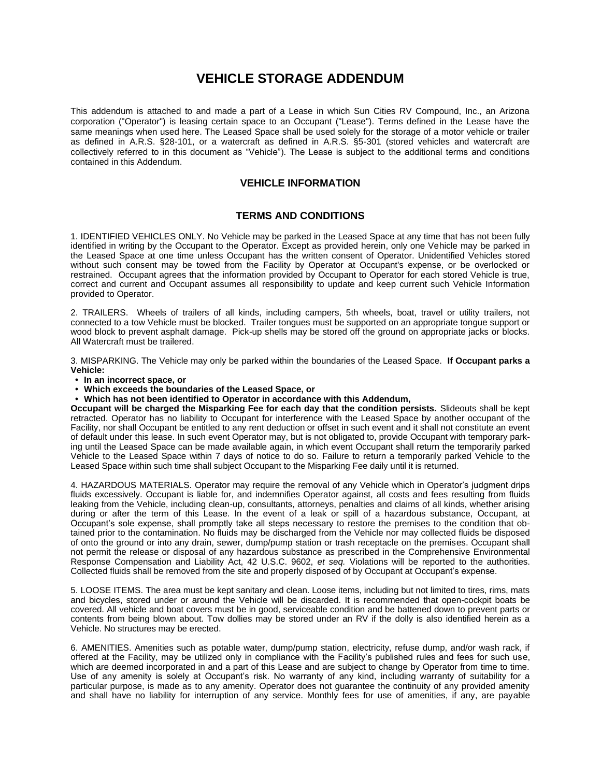## **VEHICLE STORAGE ADDENDUM**

This addendum is attached to and made a part of a Lease in which Sun Cities RV Compound, Inc., an Arizona corporation ("Operator") is leasing certain space to an Occupant ("Lease"). Terms defined in the Lease have the same meanings when used here. The Leased Space shall be used solely for the storage of a motor vehicle or trailer as defined in A.R.S. §28-101, or a watercraft as defined in A.R.S. §5-301 (stored vehicles and watercraft are collectively referred to in this document as "Vehicle"). The Lease is subject to the additional terms and conditions contained in this Addendum.

## **VEHICLE INFORMATION**

## **TERMS AND CONDITIONS**

1. IDENTIFIED VEHICLES ONLY. No Vehicle may be parked in the Leased Space at any time that has not been fully identified in writing by the Occupant to the Operator. Except as provided herein, only one Vehicle may be parked in the Leased Space at one time unless Occupant has the written consent of Operator. Unidentified Vehicles stored without such consent may be towed from the Facility by Operator at Occupant's expense, or be overlocked or restrained. Occupant agrees that the information provided by Occupant to Operator for each stored Vehicle is true, correct and current and Occupant assumes all responsibility to update and keep current such Vehicle Information provided to Operator.

2. TRAILERS. Wheels of trailers of all kinds, including campers, 5th wheels, boat, travel or utility trailers, not connected to a tow Vehicle must be blocked. Trailer tongues must be supported on an appropriate tongue support or wood block to prevent asphalt damage. Pick-up shells may be stored off the ground on appropriate jacks or blocks. All Watercraft must be trailered.

3. MISPARKING. The Vehicle may only be parked within the boundaries of the Leased Space. **If Occupant parks a Vehicle:**

- **• In an incorrect space, or**
- **• Which exceeds the boundaries of the Leased Space, or**
- **• Which has not been identified to Operator in accordance with this Addendum,**

**Occupant will be charged the Misparking Fee for each day that the condition persists.** Slideouts shall be kept retracted. Operator has no liability to Occupant for interference with the Leased Space by another occupant of the Facility, nor shall Occupant be entitled to any rent deduction or offset in such event and it shall not constitute an event of default under this lease. In such event Operator may, but is not obligated to, provide Occupant with temporary parking until the Leased Space can be made available again, in which event Occupant shall return the temporarily parked Vehicle to the Leased Space within 7 days of notice to do so. Failure to return a temporarily parked Vehicle to the Leased Space within such time shall subject Occupant to the Misparking Fee daily until it is returned.

4. HAZARDOUS MATERIALS. Operator may require the removal of any Vehicle which in Operator's judgment drips fluids excessively. Occupant is liable for, and indemnifies Operator against, all costs and fees resulting from fluids leaking from the Vehicle, including clean-up, consultants, attorneys, penalties and claims of all kinds, whether arising during or after the term of this Lease. In the event of a leak or spill of a hazardous substance, Occupant, at Occupant's sole expense, shall promptly take all steps necessary to restore the premises to the condition that obtained prior to the contamination. No fluids may be discharged from the Vehicle nor may collected fluids be disposed of onto the ground or into any drain, sewer, dump/pump station or trash receptacle on the premises. Occupant shall not permit the release or disposal of any hazardous substance as prescribed in the Comprehensive Environmental Response Compensation and Liability Act, 42 U.S.C. 9602, *et seq.* Violations will be reported to the authorities. Collected fluids shall be removed from the site and properly disposed of by Occupant at Occupant's expense.

5. LOOSE ITEMS. The area must be kept sanitary and clean. Loose items, including but not limited to tires, rims, mats and bicycles, stored under or around the Vehicle will be discarded. It is recommended that open-cockpit boats be covered. All vehicle and boat covers must be in good, serviceable condition and be battened down to prevent parts or contents from being blown about. Tow dollies may be stored under an RV if the dolly is also identified herein as a Vehicle. No structures may be erected.

6. AMENITIES. Amenities such as potable water, dump/pump station, electricity, refuse dump, and/or wash rack, if offered at the Facility, may be utilized only in compliance with the Facility's published rules and fees for such use, which are deemed incorporated in and a part of this Lease and are subject to change by Operator from time to time. Use of any amenity is solely at Occupant's risk. No warranty of any kind, including warranty of suitability for a particular purpose, is made as to any amenity. Operator does not guarantee the continuity of any provided amenity and shall have no liability for interruption of any service. Monthly fees for use of amenities, if any, are payable